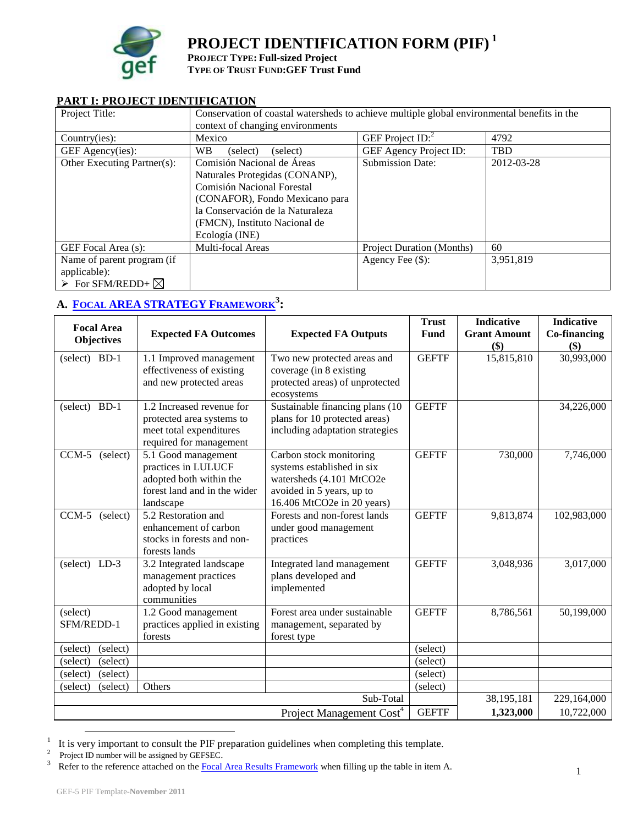

# **PROJECT IDENTIFICATION FORM (PIF) <sup>1</sup>**

**PROJECT TYPE: Full-sized Project TYPE OF TRUST FUND:GEF Trust Fund**

#### **PART I: PROJECT IDENTIFICATION**

| Project Title:                                                                           | Conservation of coastal watersheds to achieve multiple global environmental benefits in the<br>context of changing environments                                                                                     |                                  |            |  |  |
|------------------------------------------------------------------------------------------|---------------------------------------------------------------------------------------------------------------------------------------------------------------------------------------------------------------------|----------------------------------|------------|--|--|
| Country(ies):                                                                            | Mexico                                                                                                                                                                                                              | GEF Project $ID:$ <sup>2</sup>   | 4792       |  |  |
| GEF Agency(ies):                                                                         | <b>WB</b><br>(select)<br>(select)                                                                                                                                                                                   | GEF Agency Project ID:           | <b>TBD</b> |  |  |
| Other Executing Partner(s):                                                              | Comisión Nacional de Áreas<br>Naturales Protegidas (CONANP),<br>Comisión Nacional Forestal<br>(CONAFOR), Fondo Mexicano para<br>la Conservación de la Naturaleza<br>(FMCN), Instituto Nacional de<br>Ecología (INE) | <b>Submission Date:</b>          | 2012-03-28 |  |  |
| GEF Focal Area (s):                                                                      | Multi-focal Areas                                                                                                                                                                                                   | <b>Project Duration (Months)</b> | 60         |  |  |
| Name of parent program (if<br>applicable):<br>$\triangleright$ For SFM/REDD+ $\boxtimes$ |                                                                                                                                                                                                                     | Agency Fee $(\$)$ :              | 3,951,819  |  |  |

# **A. FOCAL AREA [STRATEGY](http://www.thegef.org/gef/sites/thegef.org/files/documents/document/GEF5-Template%20Reference%20Guide%209-14-10rev11-18-2010.doc) FRAMEWORK<sup>3</sup> :**

| <b>Focal Area</b>    |                               |                                      | <b>Trust</b> | <b>Indicative</b>   | <b>Indicative</b> |
|----------------------|-------------------------------|--------------------------------------|--------------|---------------------|-------------------|
| Objectives           | <b>Expected FA Outcomes</b>   | <b>Expected FA Outputs</b>           | Fund         | <b>Grant Amount</b> | Co-financing      |
|                      |                               |                                      |              | \$)                 | \$)               |
| (select) BD-1        | 1.1 Improved management       | Two new protected areas and          | <b>GEFTF</b> | 15,815,810          | 30,993,000        |
|                      | effectiveness of existing     | coverage (in 8 existing              |              |                     |                   |
|                      | and new protected areas       | protected areas) of unprotected      |              |                     |                   |
|                      |                               | ecosystems                           |              |                     |                   |
| (select) BD-1        | 1.2 Increased revenue for     | Sustainable financing plans (10      | <b>GEFTF</b> |                     | 34,226,000        |
|                      | protected area systems to     | plans for 10 protected areas)        |              |                     |                   |
|                      | meet total expenditures       | including adaptation strategies      |              |                     |                   |
|                      | required for management       |                                      |              |                     |                   |
| $CCM-5$<br>(select)  | 5.1 Good management           | Carbon stock monitoring              | <b>GEFTF</b> | 730,000             | 7,746,000         |
|                      | practices in LULUCF           | systems established in six           |              |                     |                   |
|                      | adopted both within the       | watersheds (4.101 MtCO2e             |              |                     |                   |
|                      | forest land and in the wider  | avoided in 5 years, up to            |              |                     |                   |
|                      | landscape                     | 16.406 MtCO2e in 20 years)           |              |                     |                   |
| CCM-5 (select)       | 5.2 Restoration and           | Forests and non-forest lands         | <b>GEFTF</b> | 9,813,874           | 102,983,000       |
|                      | enhancement of carbon         | under good management                |              |                     |                   |
|                      | stocks in forests and non-    | practices                            |              |                     |                   |
|                      | forests lands                 |                                      |              |                     |                   |
| (select) LD-3        | 3.2 Integrated landscape      | Integrated land management           | <b>GEFTF</b> | 3,048,936           | 3,017,000         |
|                      | management practices          | plans developed and                  |              |                     |                   |
|                      | adopted by local              | implemented                          |              |                     |                   |
|                      | communities                   |                                      |              |                     |                   |
| (select)             | 1.2 Good management           | Forest area under sustainable        | <b>GEFTF</b> | 8,786,561           | 50,199,000        |
| SFM/REDD-1           | practices applied in existing | management, separated by             |              |                     |                   |
|                      | forests                       | forest type                          |              |                     |                   |
| (select)<br>(select) |                               |                                      | (select)     |                     |                   |
| (select)<br>(select) |                               |                                      | (select)     |                     |                   |
| (select)<br>(select) |                               |                                      | (select)     |                     |                   |
| (select)<br>(select) | Others                        |                                      | (select)     |                     |                   |
|                      |                               | Sub-Total                            |              | 38,195,181          | 229,164,000       |
|                      |                               | Project Management Cost <sup>4</sup> | <b>GEFTF</b> | 1,323,000           | 10,722,000        |

<sup>1</sup> It is very important to consult the PIF preparation guidelines when completing this template.

 $\overline{a}$ 

<sup>2</sup> Project ID number will be assigned by GEFSEC.

<sup>3</sup> Refer to the reference attached on th[e Focal Area Results Framework](http://www.thegef.org/gef/sites/thegef.org/files/documents/document/GEF5-Template%20Reference%20Guide%209-14-10rev11-18-2010.doc) when filling up the table in item A.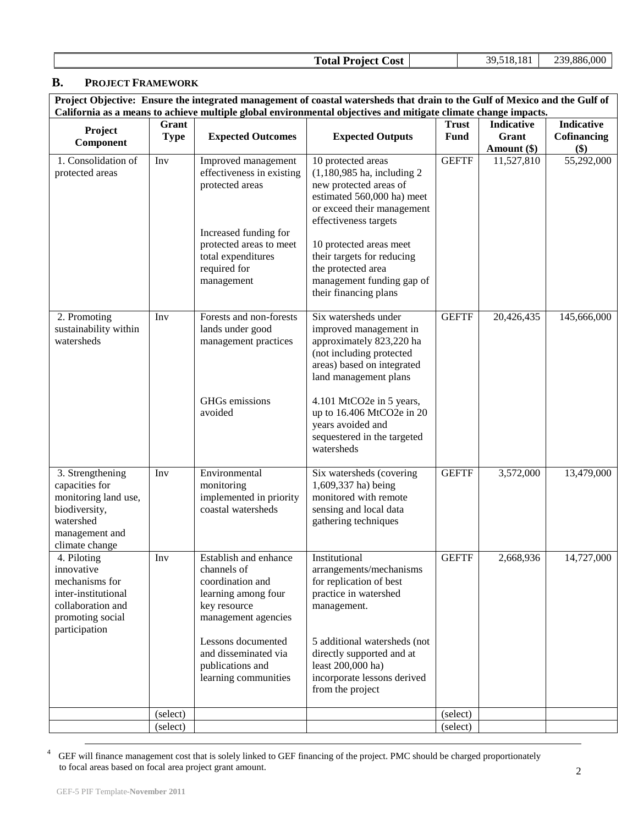| <b>Total Project Cost</b> | 39,518,181 | 239,886,000 |
|---------------------------|------------|-------------|
|---------------------------|------------|-------------|

### **B. PROJECT FRAMEWORK**

**Project Objective: Ensure the integrated management of coastal watersheds that drain to the Gulf of Mexico and the Gulf of California as a means to achieve multiple global environmental objectives and mitigate climate change impacts.**

| Project<br>Component                                                                                                         | Grant<br><b>Type</b> | <b>Expected Outcomes</b>                                                                                                                                                    | <b>Expected Outputs</b>                                                                                                                                                                                                                                                                                | <b>Trust</b><br><b>Fund</b> | <b>Indicative</b><br>Grant<br>Amount (\$) | <b>Indicative</b><br>Cofinancing<br>\$) |
|------------------------------------------------------------------------------------------------------------------------------|----------------------|-----------------------------------------------------------------------------------------------------------------------------------------------------------------------------|--------------------------------------------------------------------------------------------------------------------------------------------------------------------------------------------------------------------------------------------------------------------------------------------------------|-----------------------------|-------------------------------------------|-----------------------------------------|
| 1. Consolidation of<br>protected areas                                                                                       | Inv                  | Improved management<br>effectiveness in existing<br>protected areas<br>Increased funding for<br>protected areas to meet<br>total expenditures<br>required for<br>management | 10 protected areas<br>$(1,180,985$ ha, including 2<br>new protected areas of<br>estimated 560,000 ha) meet<br>or exceed their management<br>effectiveness targets<br>10 protected areas meet<br>their targets for reducing<br>the protected area<br>management funding gap of<br>their financing plans | <b>GEFTF</b>                | 11,527,810                                | 55,292,000                              |
| 2. Promoting<br>sustainability within<br>watersheds                                                                          | Inv                  | Forests and non-forests<br>lands under good<br>management practices<br>GHGs emissions                                                                                       | Six watersheds under<br>improved management in<br>approximately 823,220 ha<br>(not including protected<br>areas) based on integrated<br>land management plans<br>4.101 MtCO <sub>2</sub> e in 5 years,                                                                                                 | <b>GEFTF</b>                | 20,426,435                                | 145,666,000                             |
|                                                                                                                              |                      | avoided                                                                                                                                                                     | up to 16.406 MtCO2e in 20<br>years avoided and<br>sequestered in the targeted<br>watersheds                                                                                                                                                                                                            |                             |                                           |                                         |
| 3. Strengthening<br>capacities for<br>monitoring land use,<br>biodiversity,<br>watershed<br>management and<br>climate change | Inv                  | Environmental<br>monitoring<br>implemented in priority<br>coastal watersheds                                                                                                | Six watersheds (covering<br>1,609,337 ha) being<br>monitored with remote<br>sensing and local data<br>gathering techniques                                                                                                                                                                             | <b>GEFTF</b>                | 3,572,000                                 | 13,479,000                              |
| 4. Piloting<br>innovative<br>mechanisms for<br>inter-institutional<br>collaboration and<br>promoting social<br>participation | Inv                  | Establish and enhance<br>channels of<br>coordination and<br>learning among four<br>key resource<br>management agencies                                                      | Institutional<br>arrangements/mechanisms<br>for replication of best<br>practice in watershed<br>management.                                                                                                                                                                                            | <b>GEFTF</b>                | 2,668,936                                 | 14,727,000                              |
|                                                                                                                              |                      | Lessons documented<br>and disseminated via<br>publications and<br>learning communities                                                                                      | 5 additional watersheds (not<br>directly supported and at<br>least 200,000 ha)<br>incorporate lessons derived<br>from the project                                                                                                                                                                      |                             |                                           |                                         |
|                                                                                                                              | (select)             |                                                                                                                                                                             |                                                                                                                                                                                                                                                                                                        | (select)                    |                                           |                                         |
|                                                                                                                              | (select)             |                                                                                                                                                                             |                                                                                                                                                                                                                                                                                                        | (select)                    |                                           |                                         |

4 GEF will finance management cost that is solely linked to GEF financing of the project. PMC should be charged proportionately to focal areas based on focal area project grant amount.

 $\overline{a}$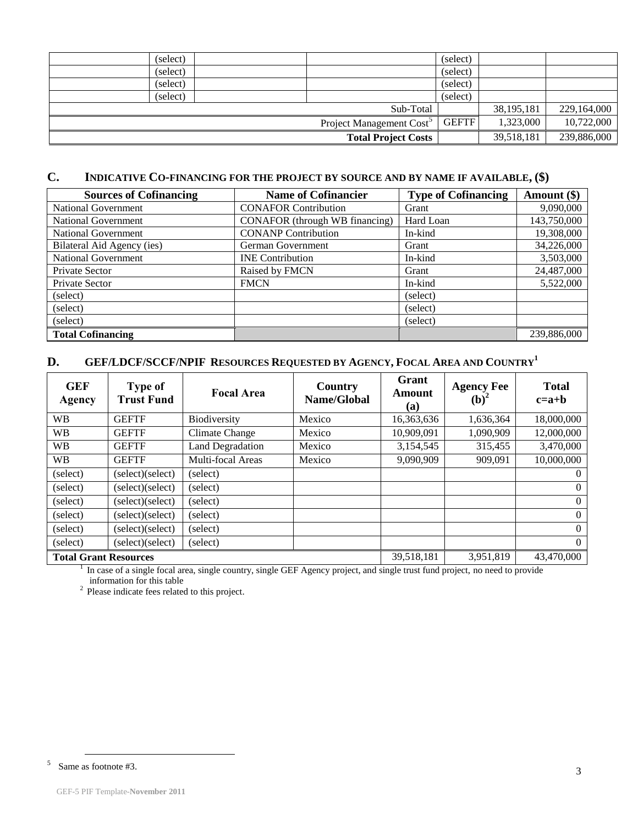| (select) |                            | (select)     |              |             |
|----------|----------------------------|--------------|--------------|-------------|
| (select) |                            | (select)     |              |             |
| (select) |                            | (select)     |              |             |
| (select) |                            | (select)     |              |             |
|          | Sub-Total                  |              | 38, 195, 181 | 229,164,000 |
|          | Project Management Cost    | <b>GEFTF</b> | 1,323,000    | 10,722,000  |
|          | <b>Total Project Costs</b> |              | 39,518,181   | 239,886,000 |

## **C. INDICATIVE CO-[FINANCING](http://gefweb.org/Documents/Council_Documents/GEF_C21/C.20.6.Rev.1.pdf) FOR THE PROJECT BY SOURCE AND BY NAME IF AVAILABLE, (\$)**

| <b>Sources of Cofinancing</b> | <b>Name of Cofinancier</b>     | <b>Type of Cofinancing</b> | Amount (\$) |
|-------------------------------|--------------------------------|----------------------------|-------------|
| <b>National Government</b>    | <b>CONAFOR Contribution</b>    | Grant                      | 9,090,000   |
| National Government           | CONAFOR (through WB financing) | Hard Loan                  | 143,750,000 |
| <b>National Government</b>    | <b>CONANP Contribution</b>     | In-kind                    | 19,308,000  |
| Bilateral Aid Agency (ies)    | German Government              | Grant                      | 34,226,000  |
| <b>National Government</b>    | <b>INE</b> Contribution        | In-kind                    | 3,503,000   |
| Private Sector                | Raised by FMCN                 | Grant                      | 24,487,000  |
| Private Sector                | <b>FMCN</b>                    | In-kind                    | 5,522,000   |
| (select)                      |                                | (select)                   |             |
| (select)                      |                                | (select)                   |             |
| (select)                      |                                | (select)                   |             |
| <b>Total Cofinancing</b>      |                                |                            | 239,886,000 |

# **D. GEF/LDCF/SCCF/NPIF RESOURCES REQUESTED BY AGENCY, FOCAL AREA AND COUNTRY<sup>1</sup>**

| <b>GEF</b><br>Agency         | <b>Type of</b><br><b>Trust Fund</b> | <b>Focal Area</b>       | Country<br>Name/Global | Grant<br>Amount<br>(a) | <b>Agency Fee</b><br>$(b)$ <sup>2</sup> | <b>Total</b><br>$c=a+b$ |
|------------------------------|-------------------------------------|-------------------------|------------------------|------------------------|-----------------------------------------|-------------------------|
| <b>WB</b>                    | <b>GEFTF</b>                        | <b>Biodiversity</b>     | Mexico                 | 16,363,636             | 1,636,364                               | 18,000,000              |
| <b>WB</b>                    | <b>GEFTF</b>                        | Climate Change          | Mexico                 | 10,909,091             | 1,090,909                               | 12,000,000              |
| <b>WB</b>                    | <b>GEFTF</b>                        | <b>Land Degradation</b> | Mexico                 | 3,154,545              | 315,455                                 | 3,470,000               |
| <b>WB</b>                    | <b>GEFTF</b>                        | Multi-focal Areas       | Mexico                 | 9,090,909              | 909,091                                 | 10,000,000              |
| (select)                     | (select)(select)                    | (select)                |                        |                        |                                         | $\Omega$                |
| (select)                     | (select)(select)                    | (select)                |                        |                        |                                         | $\overline{0}$          |
| (select)                     | (select)(select)                    | (select)                |                        |                        |                                         | $\overline{0}$          |
| (select)                     | (select)(select)                    | (select)                |                        |                        |                                         | $\Omega$                |
| (select)                     | (select)(select)                    | (select)                |                        |                        |                                         | $\overline{0}$          |
| (select)                     | (select)(select)                    | (select)                |                        |                        |                                         | $\overline{0}$          |
| <b>Total Grant Resources</b> |                                     |                         |                        | 39,518,181             | 3,951,819                               | 43,470,000              |

Total Grant Resources<br><sup>1</sup> In case of a single focal area, single country, single GEF Agency project, and single trust fund project, no need to provide information for this table

 $2$  Please indicate fees related to this project.

 $\overline{a}$ 

<sup>5</sup> Same as footnote #3.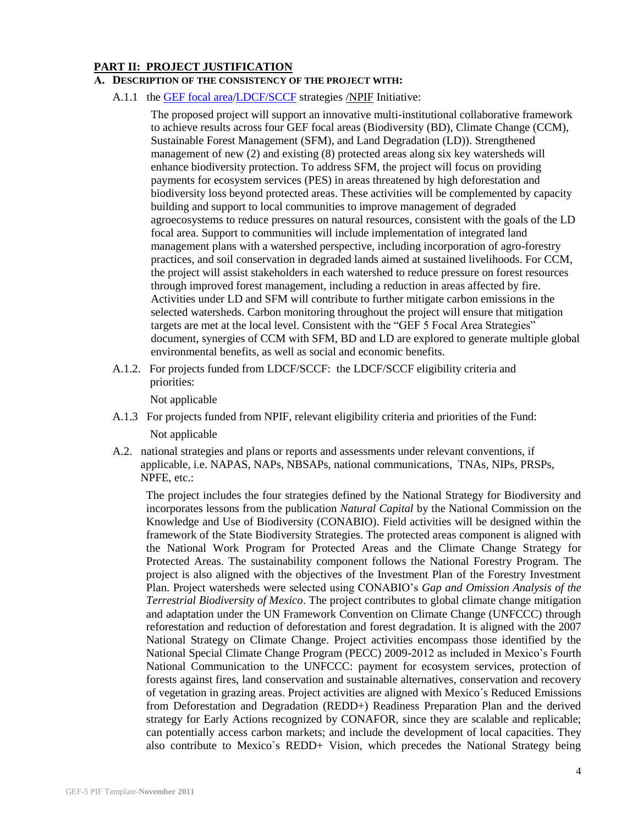#### **PART II: PROJECT JUSTIFICATION**

#### **A. DESCRIPTION OF THE CONSISTENCY OF THE PROJECT WITH:**

A.1.1 the [GEF focal area](http://www.thegef.org/gef/sites/thegef.org/files/documents/GEF.R.5.19.Rev_.1.2009.pdf)[/LDCF/SCCF](http://www.thegef.org/gef/sites/thegef.org/files/documents/Program%20strategy%20V.2.pdf) strategies [/NPIF](file:///C:/-Users-wb12456-Desktop-C.40.11.Rev_.1_Outstanding_Issues_Nagoya_Protocol.pdf) Initiative:

The proposed project will support an innovative multi-institutional collaborative framework to achieve results across four GEF focal areas (Biodiversity (BD), Climate Change (CCM), Sustainable Forest Management (SFM), and Land Degradation (LD)). Strengthened management of new (2) and existing (8) protected areas along six key watersheds will enhance biodiversity protection. To address SFM, the project will focus on providing payments for ecosystem services (PES) in areas threatened by high deforestation and biodiversity loss beyond protected areas. These activities will be complemented by capacity building and support to local communities to improve management of degraded agroecosystems to reduce pressures on natural resources, consistent with the goals of the LD focal area. Support to communities will include implementation of integrated land management plans with a watershed perspective, including incorporation of agro-forestry practices, and soil conservation in degraded lands aimed at sustained livelihoods. For CCM, the project will assist stakeholders in each watershed to reduce pressure on forest resources through improved forest management, including a reduction in areas affected by fire. Activities under LD and SFM will contribute to further mitigate carbon emissions in the selected watersheds. Carbon monitoring throughout the project will ensure that mitigation targets are met at the local level. Consistent with the "GEF 5 Focal Area Strategies" document, synergies of CCM with SFM, BD and LD are explored to generate multiple global environmental benefits, as well as social and economic benefits.

A.1.2. For projects funded from LDCF/SCCF: the LDCF/SCCF eligibility criteria and priorities:

Not applicable

- A.1.3 For projects funded from NPIF, relevant eligibility criteria and priorities of the Fund: Not applicable
- A.2. national strategies and plans or reports and assessments under relevant conventions, if applicable, i.e. NAPAS, NAPs, NBSAPs, national communications, TNAs, NIPs, PRSPs, NPFE, etc.:

The project includes the four strategies defined by the National Strategy for Biodiversity and incorporates lessons from the publication *Natural Capital* by the National Commission on the Knowledge and Use of Biodiversity (CONABIO). Field activities will be designed within the framework of the State Biodiversity Strategies. The protected areas component is aligned with the National Work Program for Protected Areas and the Climate Change Strategy for Protected Areas. The sustainability component follows the National Forestry Program. The project is also aligned with the objectives of the Investment Plan of the Forestry Investment Plan. Project watersheds were selected using CONABIO's *Gap and Omission Analysis of the Terrestrial Biodiversity of Mexico*. The project contributes to global climate change mitigation and adaptation under the UN Framework Convention on Climate Change (UNFCCC) through reforestation and reduction of deforestation and forest degradation. It is aligned with the 2007 National Strategy on Climate Change. Project activities encompass those identified by the National Special Climate Change Program (PECC) 2009-2012 as included in Mexico's Fourth National Communication to the UNFCCC: payment for ecosystem services, protection of forests against fires, land conservation and sustainable alternatives, conservation and recovery of vegetation in grazing areas. Project activities are aligned with Mexico´s Reduced Emissions from Deforestation and Degradation (REDD+) Readiness Preparation Plan and the derived strategy for Early Actions recognized by CONAFOR, since they are scalable and replicable; can potentially access carbon markets; and include the development of local capacities. They also contribute to Mexico`s REDD+ Vision, which precedes the National Strategy being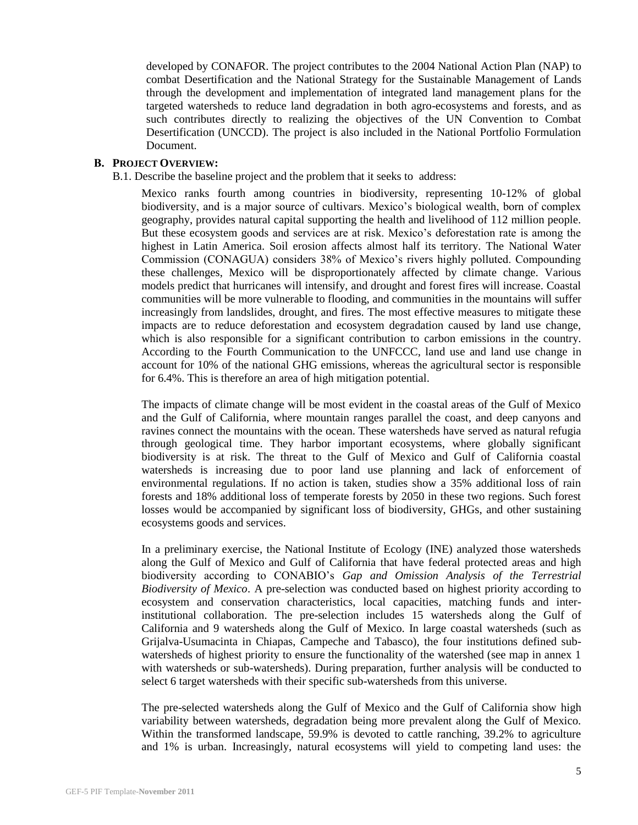developed by CONAFOR. The project contributes to the 2004 National Action Plan (NAP) to combat Desertification and the National Strategy for the Sustainable Management of Lands through the development and implementation of integrated land management plans for the targeted watersheds to reduce land degradation in both agro-ecosystems and forests, and as such contributes directly to realizing the objectives of the UN Convention to Combat Desertification (UNCCD). The project is also included in the National Portfolio Formulation Document.

#### **B. PROJECT OVERVIEW:**

B.1. Describe the baseline project and the problem that it seeks to address:

Mexico ranks fourth among countries in biodiversity, representing 10-12% of global biodiversity, and is a major source of cultivars. Mexico's biological wealth, born of complex geography, provides natural capital supporting the health and livelihood of 112 million people. But these ecosystem goods and services are at risk. Mexico's deforestation rate is among the highest in Latin America. Soil erosion affects almost half its territory. The National Water Commission (CONAGUA) considers 38% of Mexico's rivers highly polluted. Compounding these challenges, Mexico will be disproportionately affected by climate change. Various models predict that hurricanes will intensify, and drought and forest fires will increase. Coastal communities will be more vulnerable to flooding, and communities in the mountains will suffer increasingly from landslides, drought, and fires. The most effective measures to mitigate these impacts are to reduce deforestation and ecosystem degradation caused by land use change, which is also responsible for a significant contribution to carbon emissions in the country. According to the Fourth Communication to the UNFCCC, land use and land use change in account for 10% of the national GHG emissions, whereas the agricultural sector is responsible for 6.4%. This is therefore an area of high mitigation potential.

The impacts of climate change will be most evident in the coastal areas of the Gulf of Mexico and the Gulf of California, where mountain ranges parallel the coast, and deep canyons and ravines connect the mountains with the ocean. These watersheds have served as natural refugia through geological time. They harbor important ecosystems, where globally significant biodiversity is at risk. The threat to the Gulf of Mexico and Gulf of California coastal watersheds is increasing due to poor land use planning and lack of enforcement of environmental regulations. If no action is taken, studies show a 35% additional loss of rain forests and 18% additional loss of temperate forests by 2050 in these two regions. Such forest losses would be accompanied by significant loss of biodiversity, GHGs, and other sustaining ecosystems goods and services.

In a preliminary exercise, the National Institute of Ecology (INE) analyzed those watersheds along the Gulf of Mexico and Gulf of California that have federal protected areas and high biodiversity according to CONABIO's *Gap and Omission Analysis of the Terrestrial Biodiversity of Mexico*. A pre-selection was conducted based on highest priority according to ecosystem and conservation characteristics, local capacities, matching funds and interinstitutional collaboration. The pre-selection includes 15 watersheds along the Gulf of California and 9 watersheds along the Gulf of Mexico. In large coastal watersheds (such as Grijalva-Usumacinta in Chiapas, Campeche and Tabasco), the four institutions defined subwatersheds of highest priority to ensure the functionality of the watershed (see map in annex 1 with watersheds or sub-watersheds). During preparation, further analysis will be conducted to select 6 target watersheds with their specific sub-watersheds from this universe.

The pre-selected watersheds along the Gulf of Mexico and the Gulf of California show high variability between watersheds, degradation being more prevalent along the Gulf of Mexico. Within the transformed landscape, 59.9% is devoted to cattle ranching, 39.2% to agriculture and 1% is urban. Increasingly, natural ecosystems will yield to competing land uses: the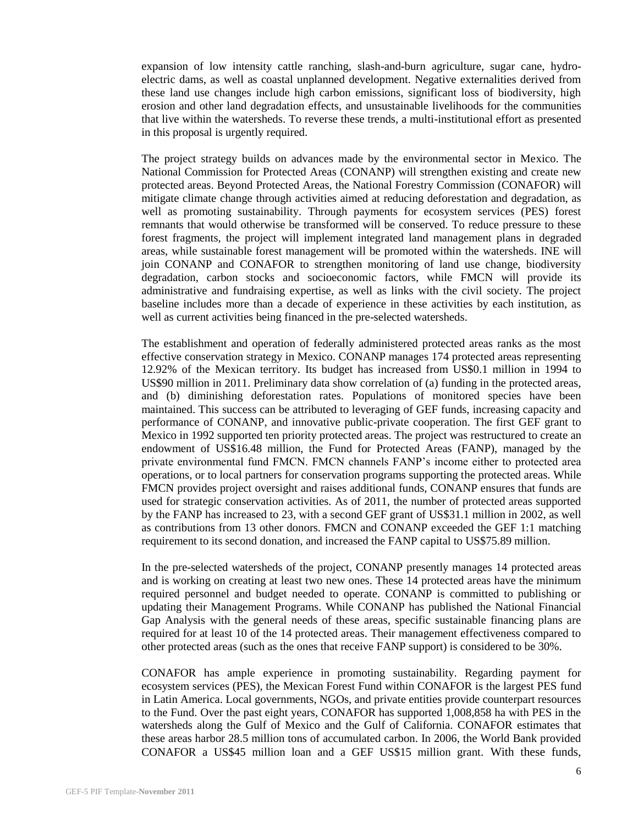expansion of low intensity cattle ranching, slash-and-burn agriculture, sugar cane, hydroelectric dams, as well as coastal unplanned development. Negative externalities derived from these land use changes include high carbon emissions, significant loss of biodiversity, high erosion and other land degradation effects, and unsustainable livelihoods for the communities that live within the watersheds. To reverse these trends, a multi-institutional effort as presented in this proposal is urgently required.

The project strategy builds on advances made by the environmental sector in Mexico. The National Commission for Protected Areas (CONANP) will strengthen existing and create new protected areas. Beyond Protected Areas, the National Forestry Commission (CONAFOR) will mitigate climate change through activities aimed at reducing deforestation and degradation, as well as promoting sustainability. Through payments for ecosystem services (PES) forest remnants that would otherwise be transformed will be conserved. To reduce pressure to these forest fragments, the project will implement integrated land management plans in degraded areas, while sustainable forest management will be promoted within the watersheds. INE will join CONANP and CONAFOR to strengthen monitoring of land use change, biodiversity degradation, carbon stocks and socioeconomic factors, while FMCN will provide its administrative and fundraising expertise, as well as links with the civil society. The project baseline includes more than a decade of experience in these activities by each institution, as well as current activities being financed in the pre-selected watersheds.

The establishment and operation of federally administered protected areas ranks as the most effective conservation strategy in Mexico. CONANP manages 174 protected areas representing 12.92% of the Mexican territory. Its budget has increased from US\$0.1 million in 1994 to US\$90 million in 2011. Preliminary data show correlation of (a) funding in the protected areas, and (b) diminishing deforestation rates. Populations of monitored species have been maintained. This success can be attributed to leveraging of GEF funds, increasing capacity and performance of CONANP, and innovative public-private cooperation. The first GEF grant to Mexico in 1992 supported ten priority protected areas. The project was restructured to create an endowment of US\$16.48 million, the Fund for Protected Areas (FANP), managed by the private environmental fund FMCN. FMCN channels FANP's income either to protected area operations, or to local partners for conservation programs supporting the protected areas. While FMCN provides project oversight and raises additional funds, CONANP ensures that funds are used for strategic conservation activities. As of 2011, the number of protected areas supported by the FANP has increased to 23, with a second GEF grant of US\$31.1 million in 2002, as well as contributions from 13 other donors. FMCN and CONANP exceeded the GEF 1:1 matching requirement to its second donation, and increased the FANP capital to US\$75.89 million.

In the pre-selected watersheds of the project, CONANP presently manages 14 protected areas and is working on creating at least two new ones. These 14 protected areas have the minimum required personnel and budget needed to operate. CONANP is committed to publishing or updating their Management Programs. While CONANP has published the National Financial Gap Analysis with the general needs of these areas, specific sustainable financing plans are required for at least 10 of the 14 protected areas. Their management effectiveness compared to other protected areas (such as the ones that receive FANP support) is considered to be 30%.

CONAFOR has ample experience in promoting sustainability. Regarding payment for ecosystem services (PES), the Mexican Forest Fund within CONAFOR is the largest PES fund in Latin America. Local governments, NGOs, and private entities provide counterpart resources to the Fund. Over the past eight years, CONAFOR has supported 1,008,858 ha with PES in the watersheds along the Gulf of Mexico and the Gulf of California. CONAFOR estimates that these areas harbor 28.5 million tons of accumulated carbon. In 2006, the World Bank provided CONAFOR a US\$45 million loan and a GEF US\$15 million grant. With these funds,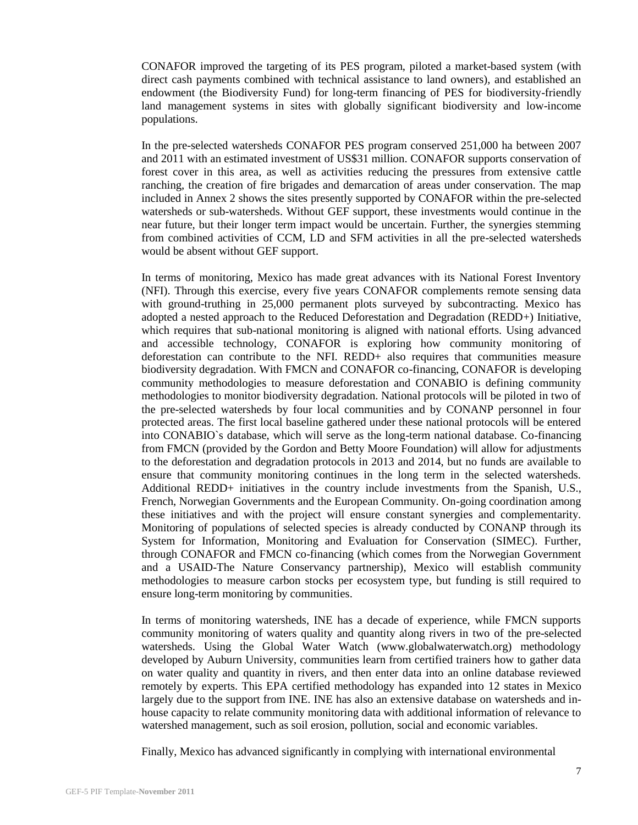CONAFOR improved the targeting of its PES program, piloted a market-based system (with direct cash payments combined with technical assistance to land owners), and established an endowment (the Biodiversity Fund) for long-term financing of PES for biodiversity-friendly land management systems in sites with globally significant biodiversity and low-income populations.

In the pre-selected watersheds CONAFOR PES program conserved 251,000 ha between 2007 and 2011 with an estimated investment of US\$31 million. CONAFOR supports conservation of forest cover in this area, as well as activities reducing the pressures from extensive cattle ranching, the creation of fire brigades and demarcation of areas under conservation. The map included in Annex 2 shows the sites presently supported by CONAFOR within the pre-selected watersheds or sub-watersheds. Without GEF support, these investments would continue in the near future, but their longer term impact would be uncertain. Further, the synergies stemming from combined activities of CCM, LD and SFM activities in all the pre-selected watersheds would be absent without GEF support.

In terms of monitoring, Mexico has made great advances with its National Forest Inventory (NFI). Through this exercise, every five years CONAFOR complements remote sensing data with ground-truthing in 25,000 permanent plots surveyed by subcontracting. Mexico has adopted a nested approach to the Reduced Deforestation and Degradation (REDD+) Initiative, which requires that sub-national monitoring is aligned with national efforts. Using advanced and accessible technology, CONAFOR is exploring how community monitoring of deforestation can contribute to the NFI. REDD+ also requires that communities measure biodiversity degradation. With FMCN and CONAFOR co-financing, CONAFOR is developing community methodologies to measure deforestation and CONABIO is defining community methodologies to monitor biodiversity degradation. National protocols will be piloted in two of the pre-selected watersheds by four local communities and by CONANP personnel in four protected areas. The first local baseline gathered under these national protocols will be entered into CONABIO`s database, which will serve as the long-term national database. Co-financing from FMCN (provided by the Gordon and Betty Moore Foundation) will allow for adjustments to the deforestation and degradation protocols in 2013 and 2014, but no funds are available to ensure that community monitoring continues in the long term in the selected watersheds. Additional REDD+ initiatives in the country include investments from the Spanish, U.S., French, Norwegian Governments and the European Community. On-going coordination among these initiatives and with the project will ensure constant synergies and complementarity. Monitoring of populations of selected species is already conducted by CONANP through its System for Information, Monitoring and Evaluation for Conservation (SIMEC). Further, through CONAFOR and FMCN co-financing (which comes from the Norwegian Government and a USAID-The Nature Conservancy partnership), Mexico will establish community methodologies to measure carbon stocks per ecosystem type, but funding is still required to ensure long-term monitoring by communities.

In terms of monitoring watersheds, INE has a decade of experience, while FMCN supports community monitoring of waters quality and quantity along rivers in two of the pre-selected watersheds. Using the Global Water Watch (www.globalwaterwatch.org) methodology developed by Auburn University, communities learn from certified trainers how to gather data on water quality and quantity in rivers, and then enter data into an online database reviewed remotely by experts. This EPA certified methodology has expanded into 12 states in Mexico largely due to the support from INE. INE has also an extensive database on watersheds and inhouse capacity to relate community monitoring data with additional information of relevance to watershed management, such as soil erosion, pollution, social and economic variables.

Finally, Mexico has advanced significantly in complying with international environmental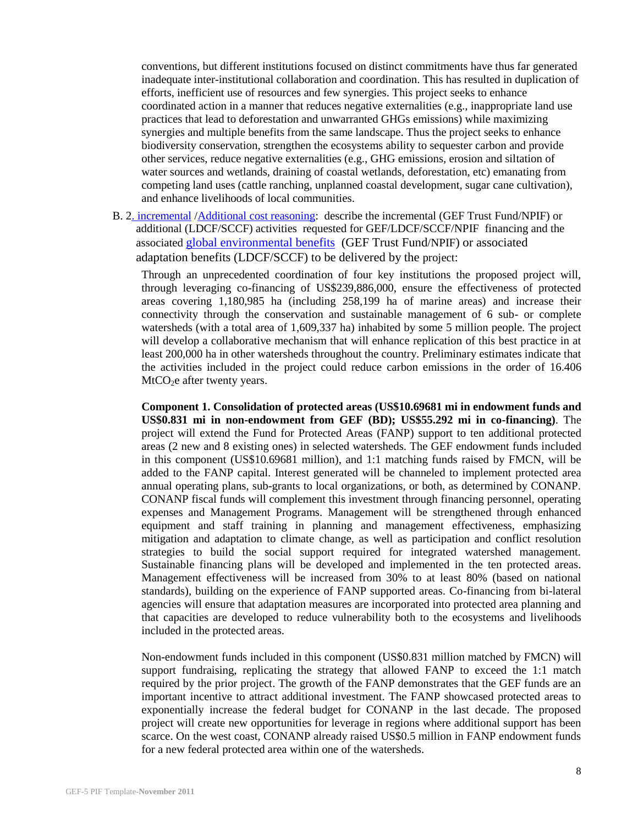conventions, but different institutions focused on distinct commitments have thus far generated inadequate inter-institutional collaboration and coordination. This has resulted in duplication of efforts, inefficient use of resources and few synergies. This project seeks to enhance coordinated action in a manner that reduces negative externalities (e.g., inappropriate land use practices that lead to deforestation and unwarranted GHGs emissions) while maximizing synergies and multiple benefits from the same landscape. Thus the project seeks to enhance biodiversity conservation, strengthen the ecosystems ability to sequester carbon and provide other services, reduce negative externalities (e.g., GHG emissions, erosion and siltation of water sources and wetlands, draining of coastal wetlands, deforestation, etc) emanating from competing land uses (cattle ranching, unplanned coastal development, sugar cane cultivation), and enhance livelihoods of local communities.

B. [2. incremental](http://www.thegef.org/gef/node/1890) [/Additional cost reasoning:](http://www.thegef.org/gef/node/1325) describe the incremental (GEF Trust Fund/NPIF) or additional (LDCF/SCCF) activities requested for GEF/LDCF/SCCF/NPIF financing and the associated [global environmental benefits](http://www.thegef.org/gef/sites/thegef.org/files/documents/CPE-Global_Environmental_Benefits_Assessment_Outline.pdf) (GEF Trust Fund/NPIF) or associated adaptation benefits (LDCF/SCCF) to be delivered by the project:

Through an unprecedented coordination of four key institutions the proposed project will, through leveraging co-financing of US\$239,886,000, ensure the effectiveness of protected areas covering 1,180,985 ha (including 258,199 ha of marine areas) and increase their connectivity through the conservation and sustainable management of 6 sub- or complete watersheds (with a total area of 1,609,337 ha) inhabited by some 5 million people. The project will develop a collaborative mechanism that will enhance replication of this best practice in at least 200,000 ha in other watersheds throughout the country. Preliminary estimates indicate that the activities included in the project could reduce carbon emissions in the order of 16.406  $MtCO<sub>2</sub>e$  after twenty years.

**Component 1. Consolidation of protected areas (US\$10.69681 mi in endowment funds and US\$0.831 mi in non-endowment from GEF (BD); US\$55.292 mi in co-financing)**. The project will extend the Fund for Protected Areas (FANP) support to ten additional protected areas (2 new and 8 existing ones) in selected watersheds. The GEF endowment funds included in this component (US\$10.69681 million), and 1:1 matching funds raised by FMCN, will be added to the FANP capital. Interest generated will be channeled to implement protected area annual operating plans, sub-grants to local organizations, or both, as determined by CONANP. CONANP fiscal funds will complement this investment through financing personnel, operating expenses and Management Programs. Management will be strengthened through enhanced equipment and staff training in planning and management effectiveness, emphasizing mitigation and adaptation to climate change, as well as participation and conflict resolution strategies to build the social support required for integrated watershed management. Sustainable financing plans will be developed and implemented in the ten protected areas. Management effectiveness will be increased from 30% to at least 80% (based on national standards), building on the experience of FANP supported areas. Co-financing from bi-lateral agencies will ensure that adaptation measures are incorporated into protected area planning and that capacities are developed to reduce vulnerability both to the ecosystems and livelihoods included in the protected areas.

Non-endowment funds included in this component (US\$0.831 million matched by FMCN) will support fundraising, replicating the strategy that allowed FANP to exceed the 1:1 match required by the prior project. The growth of the FANP demonstrates that the GEF funds are an important incentive to attract additional investment. The FANP showcased protected areas to exponentially increase the federal budget for CONANP in the last decade. The proposed project will create new opportunities for leverage in regions where additional support has been scarce. On the west coast, CONANP already raised US\$0.5 million in FANP endowment funds for a new federal protected area within one of the watersheds.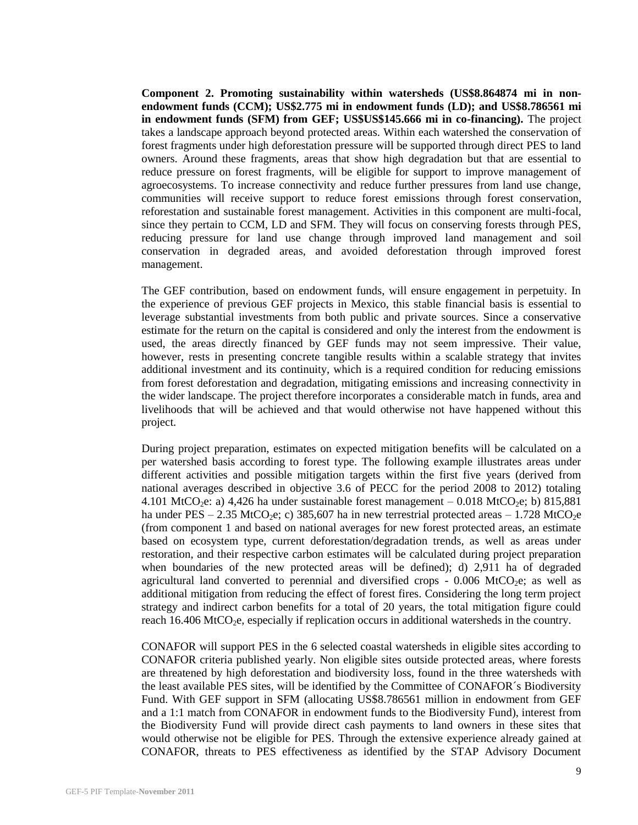**Component 2. Promoting sustainability within watersheds (US\$8.864874 mi in nonendowment funds (CCM); US\$2.775 mi in endowment funds (LD); and US\$8.786561 mi in endowment funds (SFM) from GEF; US\$US\$145.666 mi in co-financing).** The project takes a landscape approach beyond protected areas. Within each watershed the conservation of forest fragments under high deforestation pressure will be supported through direct PES to land owners. Around these fragments, areas that show high degradation but that are essential to reduce pressure on forest fragments, will be eligible for support to improve management of agroecosystems. To increase connectivity and reduce further pressures from land use change, communities will receive support to reduce forest emissions through forest conservation, reforestation and sustainable forest management. Activities in this component are multi-focal, since they pertain to CCM, LD and SFM. They will focus on conserving forests through PES, reducing pressure for land use change through improved land management and soil conservation in degraded areas, and avoided deforestation through improved forest management.

The GEF contribution, based on endowment funds, will ensure engagement in perpetuity. In the experience of previous GEF projects in Mexico, this stable financial basis is essential to leverage substantial investments from both public and private sources. Since a conservative estimate for the return on the capital is considered and only the interest from the endowment is used, the areas directly financed by GEF funds may not seem impressive. Their value, however, rests in presenting concrete tangible results within a scalable strategy that invites additional investment and its continuity, which is a required condition for reducing emissions from forest deforestation and degradation, mitigating emissions and increasing connectivity in the wider landscape. The project therefore incorporates a considerable match in funds, area and livelihoods that will be achieved and that would otherwise not have happened without this project.

During project preparation, estimates on expected mitigation benefits will be calculated on a per watershed basis according to forest type. The following example illustrates areas under different activities and possible mitigation targets within the first five years (derived from national averages described in objective 3.6 of PECC for the period 2008 to 2012) totaling 4.101 MtCO<sub>2</sub>e: a) 4,426 ha under sustainable forest management  $-0.018$  MtCO<sub>2</sub>e; b) 815,881 ha under PES – 2.35 MtCO<sub>2</sub>e; c) 385,607 ha in new terrestrial protected areas – 1.728 MtCO<sub>2</sub>e (from component 1 and based on national averages for new forest protected areas, an estimate based on ecosystem type, current deforestation/degradation trends, as well as areas under restoration, and their respective carbon estimates will be calculated during project preparation when boundaries of the new protected areas will be defined); d) 2,911 ha of degraded agricultural land converted to perennial and diversified crops  $-0.006$  MtCO<sub>2</sub>e; as well as additional mitigation from reducing the effect of forest fires. Considering the long term project strategy and indirect carbon benefits for a total of 20 years, the total mitigation figure could reach  $16.406 \text{ MtCO}_2$ e, especially if replication occurs in additional watersheds in the country.

CONAFOR will support PES in the 6 selected coastal watersheds in eligible sites according to CONAFOR criteria published yearly. Non eligible sites outside protected areas, where forests are threatened by high deforestation and biodiversity loss, found in the three watersheds with the least available PES sites, will be identified by the Committee of CONAFOR´s Biodiversity Fund. With GEF support in SFM (allocating US\$8.786561 million in endowment from GEF and a 1:1 match from CONAFOR in endowment funds to the Biodiversity Fund), interest from the Biodiversity Fund will provide direct cash payments to land owners in these sites that would otherwise not be eligible for PES. Through the extensive experience already gained at CONAFOR, threats to PES effectiveness as identified by the STAP Advisory Document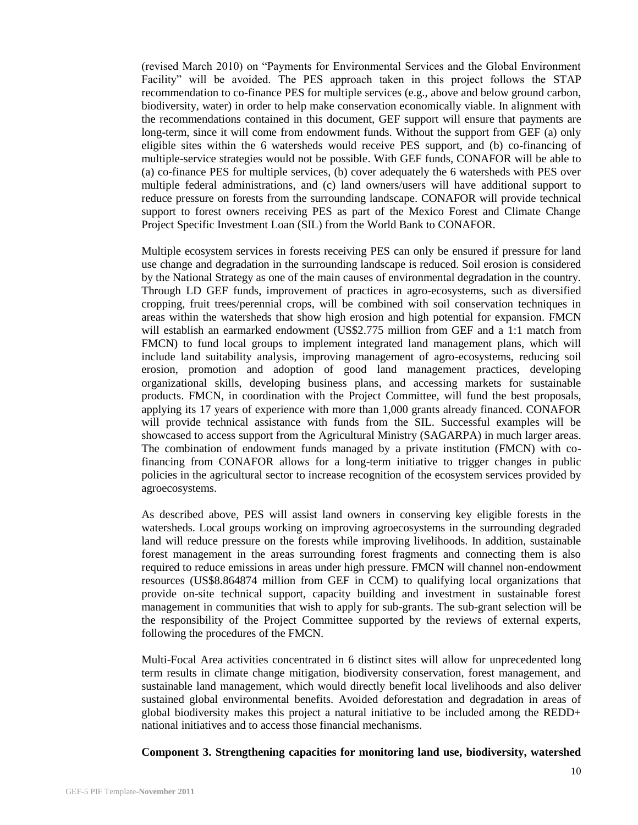(revised March 2010) on "Payments for Environmental Services and the Global Environment Facility" will be avoided. The PES approach taken in this project follows the STAP recommendation to co-finance PES for multiple services (e.g., above and below ground carbon, biodiversity, water) in order to help make conservation economically viable. In alignment with the recommendations contained in this document, GEF support will ensure that payments are long-term, since it will come from endowment funds. Without the support from GEF (a) only eligible sites within the 6 watersheds would receive PES support, and (b) co-financing of multiple-service strategies would not be possible. With GEF funds, CONAFOR will be able to (a) co-finance PES for multiple services, (b) cover adequately the 6 watersheds with PES over multiple federal administrations, and (c) land owners/users will have additional support to reduce pressure on forests from the surrounding landscape. CONAFOR will provide technical support to forest owners receiving PES as part of the Mexico Forest and Climate Change Project Specific Investment Loan (SIL) from the World Bank to CONAFOR.

Multiple ecosystem services in forests receiving PES can only be ensured if pressure for land use change and degradation in the surrounding landscape is reduced. Soil erosion is considered by the National Strategy as one of the main causes of environmental degradation in the country. Through LD GEF funds, improvement of practices in agro-ecosystems, such as diversified cropping, fruit trees/perennial crops, will be combined with soil conservation techniques in areas within the watersheds that show high erosion and high potential for expansion. FMCN will establish an earmarked endowment (US\$2.775 million from GEF and a 1:1 match from FMCN) to fund local groups to implement integrated land management plans, which will include land suitability analysis, improving management of agro-ecosystems, reducing soil erosion, promotion and adoption of good land management practices, developing organizational skills, developing business plans, and accessing markets for sustainable products. FMCN, in coordination with the Project Committee, will fund the best proposals, applying its 17 years of experience with more than 1,000 grants already financed. CONAFOR will provide technical assistance with funds from the SIL. Successful examples will be showcased to access support from the Agricultural Ministry (SAGARPA) in much larger areas. The combination of endowment funds managed by a private institution (FMCN) with cofinancing from CONAFOR allows for a long-term initiative to trigger changes in public policies in the agricultural sector to increase recognition of the ecosystem services provided by agroecosystems.

As described above, PES will assist land owners in conserving key eligible forests in the watersheds. Local groups working on improving agroecosystems in the surrounding degraded land will reduce pressure on the forests while improving livelihoods. In addition, sustainable forest management in the areas surrounding forest fragments and connecting them is also required to reduce emissions in areas under high pressure. FMCN will channel non-endowment resources (US\$8.864874 million from GEF in CCM) to qualifying local organizations that provide on-site technical support, capacity building and investment in sustainable forest management in communities that wish to apply for sub-grants. The sub-grant selection will be the responsibility of the Project Committee supported by the reviews of external experts, following the procedures of the FMCN.

Multi-Focal Area activities concentrated in 6 distinct sites will allow for unprecedented long term results in climate change mitigation, biodiversity conservation, forest management, and sustainable land management, which would directly benefit local livelihoods and also deliver sustained global environmental benefits. Avoided deforestation and degradation in areas of global biodiversity makes this project a natural initiative to be included among the REDD+ national initiatives and to access those financial mechanisms.

#### **Component 3. Strengthening capacities for monitoring land use, biodiversity, watershed**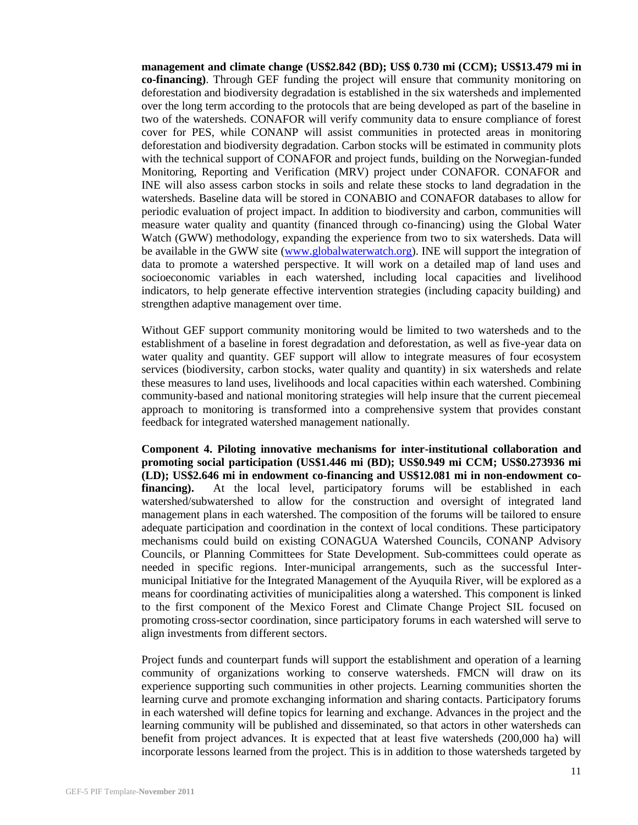**management and climate change (US\$2.842 (BD); US\$ 0.730 mi (CCM); US\$13.479 mi in co-financing)**. Through GEF funding the project will ensure that community monitoring on deforestation and biodiversity degradation is established in the six watersheds and implemented over the long term according to the protocols that are being developed as part of the baseline in two of the watersheds. CONAFOR will verify community data to ensure compliance of forest cover for PES, while CONANP will assist communities in protected areas in monitoring deforestation and biodiversity degradation. Carbon stocks will be estimated in community plots with the technical support of CONAFOR and project funds, building on the Norwegian-funded Monitoring, Reporting and Verification (MRV) project under CONAFOR. CONAFOR and INE will also assess carbon stocks in soils and relate these stocks to land degradation in the watersheds. Baseline data will be stored in CONABIO and CONAFOR databases to allow for periodic evaluation of project impact. In addition to biodiversity and carbon, communities will measure water quality and quantity (financed through co-financing) using the Global Water Watch (GWW) methodology, expanding the experience from two to six watersheds. Data will be available in the GWW site [\(www.globalwaterwatch.org\)](http://www.globalwaterwatch.org/). INE will support the integration of data to promote a watershed perspective. It will work on a detailed map of land uses and socioeconomic variables in each watershed, including local capacities and livelihood indicators, to help generate effective intervention strategies (including capacity building) and strengthen adaptive management over time.

Without GEF support community monitoring would be limited to two watersheds and to the establishment of a baseline in forest degradation and deforestation, as well as five-year data on water quality and quantity. GEF support will allow to integrate measures of four ecosystem services (biodiversity, carbon stocks, water quality and quantity) in six watersheds and relate these measures to land uses, livelihoods and local capacities within each watershed. Combining community-based and national monitoring strategies will help insure that the current piecemeal approach to monitoring is transformed into a comprehensive system that provides constant feedback for integrated watershed management nationally.

**Component 4. Piloting innovative mechanisms for inter-institutional collaboration and promoting social participation (US\$1.446 mi (BD); US\$0.949 mi CCM; US\$0.273936 mi (LD); US\$2.646 mi in endowment co-financing and US\$12.081 mi in non-endowment cofinancing).** At the local level, participatory forums will be established in each watershed/subwatershed to allow for the construction and oversight of integrated land management plans in each watershed. The composition of the forums will be tailored to ensure adequate participation and coordination in the context of local conditions. These participatory mechanisms could build on existing CONAGUA Watershed Councils, CONANP Advisory Councils, or Planning Committees for State Development. Sub-committees could operate as needed in specific regions. Inter-municipal arrangements, such as the successful Intermunicipal Initiative for the Integrated Management of the Ayuquila River, will be explored as a means for coordinating activities of municipalities along a watershed. This component is linked to the first component of the Mexico Forest and Climate Change Project SIL focused on promoting cross-sector coordination, since participatory forums in each watershed will serve to align investments from different sectors.

Project funds and counterpart funds will support the establishment and operation of a learning community of organizations working to conserve watersheds. FMCN will draw on its experience supporting such communities in other projects. Learning communities shorten the learning curve and promote exchanging information and sharing contacts. Participatory forums in each watershed will define topics for learning and exchange. Advances in the project and the learning community will be published and disseminated, so that actors in other watersheds can benefit from project advances. It is expected that at least five watersheds (200,000 ha) will incorporate lessons learned from the project. This is in addition to those watersheds targeted by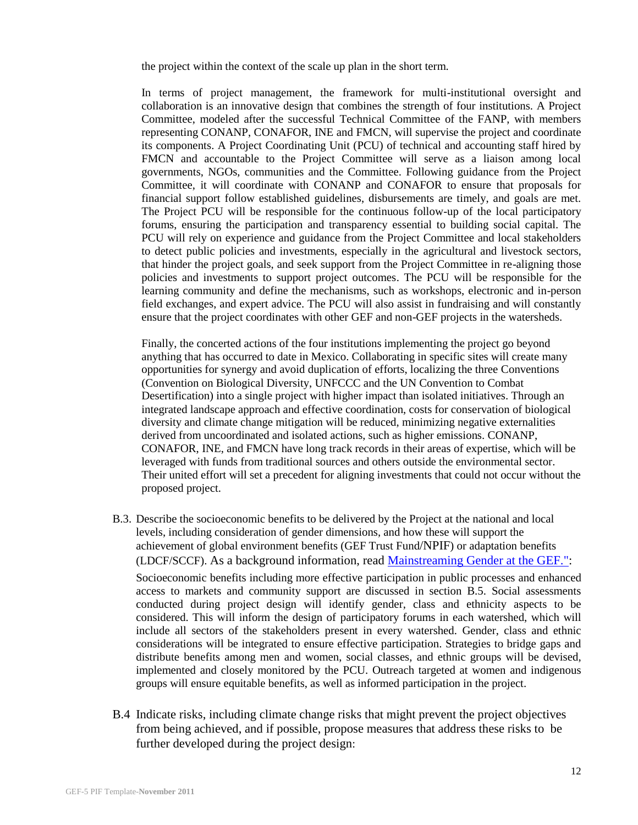the project within the context of the scale up plan in the short term.

In terms of project management, the framework for multi-institutional oversight and collaboration is an innovative design that combines the strength of four institutions. A Project Committee, modeled after the successful Technical Committee of the FANP, with members representing CONANP, CONAFOR, INE and FMCN, will supervise the project and coordinate its components. A Project Coordinating Unit (PCU) of technical and accounting staff hired by FMCN and accountable to the Project Committee will serve as a liaison among local governments, NGOs, communities and the Committee. Following guidance from the Project Committee, it will coordinate with CONANP and CONAFOR to ensure that proposals for financial support follow established guidelines, disbursements are timely, and goals are met. The Project PCU will be responsible for the continuous follow-up of the local participatory forums, ensuring the participation and transparency essential to building social capital. The PCU will rely on experience and guidance from the Project Committee and local stakeholders to detect public policies and investments, especially in the agricultural and livestock sectors, that hinder the project goals, and seek support from the Project Committee in re-aligning those policies and investments to support project outcomes. The PCU will be responsible for the learning community and define the mechanisms, such as workshops, electronic and in-person field exchanges, and expert advice. The PCU will also assist in fundraising and will constantly ensure that the project coordinates with other GEF and non-GEF projects in the watersheds.

Finally, the concerted actions of the four institutions implementing the project go beyond anything that has occurred to date in Mexico. Collaborating in specific sites will create many opportunities for synergy and avoid duplication of efforts, localizing the three Conventions (Convention on Biological Diversity, UNFCCC and the UN Convention to Combat Desertification) into a single project with higher impact than isolated initiatives. Through an integrated landscape approach and effective coordination, costs for conservation of biological diversity and climate change mitigation will be reduced, minimizing negative externalities derived from uncoordinated and isolated actions, such as higher emissions. CONANP, CONAFOR, INE, and FMCN have long track records in their areas of expertise, which will be leveraged with funds from traditional sources and others outside the environmental sector. Their united effort will set a precedent for aligning investments that could not occur without the proposed project.

B.3. Describe the socioeconomic benefits to be delivered by the Project at the national and local levels, including consideration of gender dimensions, and how these will support the achievement of global environment benefits (GEF Trust Fund/NPIF) or adaptation benefits (LDCF/SCCF). As a background information, read [Mainstreaming Gender at the GEF.":](http://www.thegef.org/gef/sites/thegef.org/files/publication/mainstreaming-gender-at-the-GEF.pdf)

Socioeconomic benefits including more effective participation in public processes and enhanced access to markets and community support are discussed in section B.5. Social assessments conducted during project design will identify gender, class and ethnicity aspects to be considered. This will inform the design of participatory forums in each watershed, which will include all sectors of the stakeholders present in every watershed. Gender, class and ethnic considerations will be integrated to ensure effective participation. Strategies to bridge gaps and distribute benefits among men and women, social classes, and ethnic groups will be devised, implemented and closely monitored by the PCU. Outreach targeted at women and indigenous groups will ensure equitable benefits, as well as informed participation in the project.

B.4 Indicate risks, including climate change risks that might prevent the project objectives from being achieved, and if possible, propose measures that address these risks to be further developed during the project design: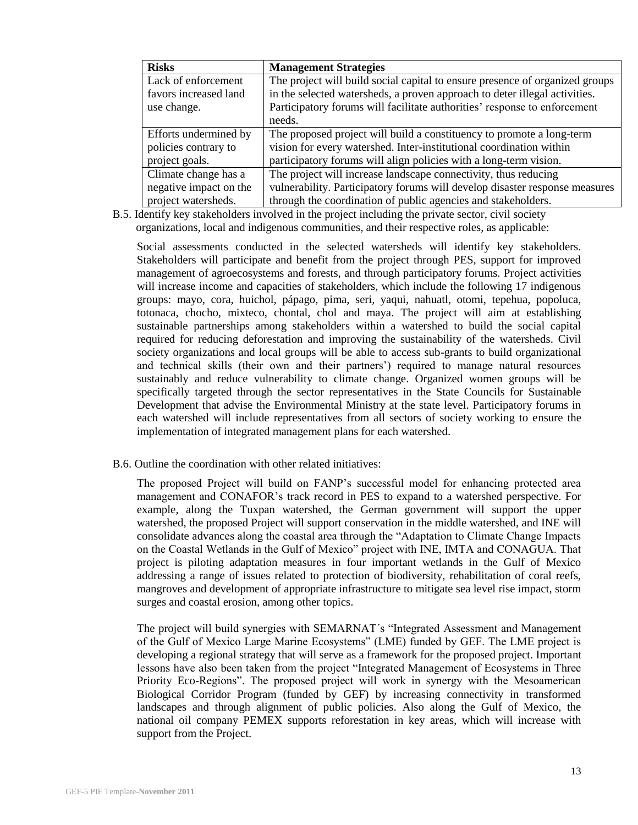| <b>Risks</b>           | <b>Management Strategies</b>                                                 |
|------------------------|------------------------------------------------------------------------------|
| Lack of enforcement    | The project will build social capital to ensure presence of organized groups |
| favors increased land  | in the selected watersheds, a proven approach to deter illegal activities.   |
| use change.            | Participatory forums will facilitate authorities' response to enforcement    |
|                        | needs.                                                                       |
| Efforts undermined by  | The proposed project will build a constituency to promote a long-term        |
| policies contrary to   | vision for every watershed. Inter-institutional coordination within          |
| project goals.         | participatory forums will align policies with a long-term vision.            |
| Climate change has a   | The project will increase landscape connectivity, thus reducing              |
| negative impact on the | vulnerability. Participatory forums will develop disaster response measures  |
| project watersheds.    | through the coordination of public agencies and stakeholders.                |

B.5. Identify key stakeholders involved in the project including the private sector, civil society organizations, local and indigenous communities, and their respective roles, as applicable:

Social assessments conducted in the selected watersheds will identify key stakeholders. Stakeholders will participate and benefit from the project through PES, support for improved management of agroecosystems and forests, and through participatory forums. Project activities will increase income and capacities of stakeholders, which include the following 17 indigenous groups: mayo, cora, huichol, pápago, pima, seri, yaqui, nahuatl, otomi, tepehua, popoluca, totonaca, chocho, mixteco, chontal, chol and maya. The project will aim at establishing sustainable partnerships among stakeholders within a watershed to build the social capital required for reducing deforestation and improving the sustainability of the watersheds. Civil society organizations and local groups will be able to access sub-grants to build organizational and technical skills (their own and their partners') required to manage natural resources sustainably and reduce vulnerability to climate change. Organized women groups will be specifically targeted through the sector representatives in the State Councils for Sustainable Development that advise the Environmental Ministry at the state level. Participatory forums in each watershed will include representatives from all sectors of society working to ensure the implementation of integrated management plans for each watershed.

B.6. Outline the coordination with other related initiatives:

The proposed Project will build on FANP's successful model for enhancing protected area management and CONAFOR's track record in PES to expand to a watershed perspective. For example, along the Tuxpan watershed, the German government will support the upper watershed, the proposed Project will support conservation in the middle watershed, and INE will consolidate advances along the coastal area through the "Adaptation to Climate Change Impacts on the Coastal Wetlands in the Gulf of Mexico" project with INE, IMTA and CONAGUA. That project is piloting adaptation measures in four important wetlands in the Gulf of Mexico addressing a range of issues related to protection of biodiversity, rehabilitation of coral reefs, mangroves and development of appropriate infrastructure to mitigate sea level rise impact, storm surges and coastal erosion, among other topics.

The project will build synergies with SEMARNAT´s "Integrated Assessment and Management of the Gulf of Mexico Large Marine Ecosystems" (LME) funded by GEF. The LME project is developing a regional strategy that will serve as a framework for the proposed project. Important lessons have also been taken from the project "Integrated Management of Ecosystems in Three Priority Eco-Regions". The proposed project will work in synergy with the Mesoamerican Biological Corridor Program (funded by GEF) by increasing connectivity in transformed landscapes and through alignment of public policies. Also along the Gulf of Mexico, the national oil company PEMEX supports reforestation in key areas, which will increase with support from the Project.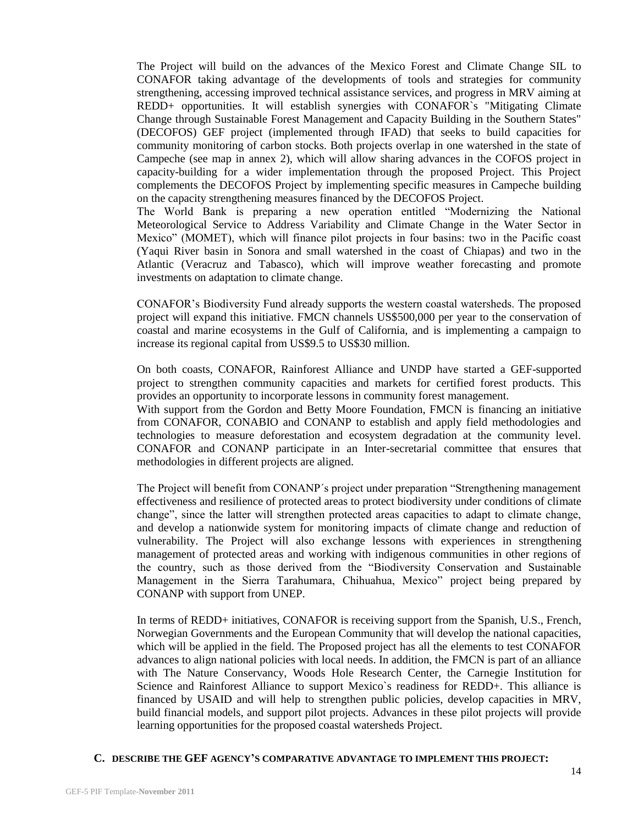The Project will build on the advances of the Mexico Forest and Climate Change SIL to CONAFOR taking advantage of the developments of tools and strategies for community strengthening, accessing improved technical assistance services, and progress in MRV aiming at REDD+ opportunities. It will establish synergies with CONAFOR`s "Mitigating Climate Change through Sustainable Forest Management and Capacity Building in the Southern States" (DECOFOS) GEF project (implemented through IFAD) that seeks to build capacities for community monitoring of carbon stocks. Both projects overlap in one watershed in the state of Campeche (see map in annex 2), which will allow sharing advances in the COFOS project in capacity-building for a wider implementation through the proposed Project. This Project complements the DECOFOS Project by implementing specific measures in Campeche building on the capacity strengthening measures financed by the DECOFOS Project.

The World Bank is preparing a new operation entitled "Modernizing the National Meteorological Service to Address Variability and Climate Change in the Water Sector in Mexico" (MOMET), which will finance pilot projects in four basins: two in the Pacific coast (Yaqui River basin in Sonora and small watershed in the coast of Chiapas) and two in the Atlantic (Veracruz and Tabasco), which will improve weather forecasting and promote investments on adaptation to climate change.

CONAFOR's Biodiversity Fund already supports the western coastal watersheds. The proposed project will expand this initiative. FMCN channels US\$500,000 per year to the conservation of coastal and marine ecosystems in the Gulf of California, and is implementing a campaign to increase its regional capital from US\$9.5 to US\$30 million.

On both coasts, CONAFOR, Rainforest Alliance and UNDP have started a GEF-supported project to strengthen community capacities and markets for certified forest products. This provides an opportunity to incorporate lessons in community forest management.

With support from the Gordon and Betty Moore Foundation, FMCN is financing an initiative from CONAFOR, CONABIO and CONANP to establish and apply field methodologies and technologies to measure deforestation and ecosystem degradation at the community level. CONAFOR and CONANP participate in an Inter-secretarial committee that ensures that methodologies in different projects are aligned.

The Project will benefit from CONANP´s project under preparation "Strengthening management effectiveness and resilience of protected areas to protect biodiversity under conditions of climate change", since the latter will strengthen protected areas capacities to adapt to climate change, and develop a nationwide system for monitoring impacts of climate change and reduction of vulnerability. The Project will also exchange lessons with experiences in strengthening management of protected areas and working with indigenous communities in other regions of the country, such as those derived from the "Biodiversity Conservation and Sustainable Management in the Sierra Tarahumara, Chihuahua, Mexico" project being prepared by CONANP with support from UNEP.

In terms of REDD+ initiatives, CONAFOR is receiving support from the Spanish, U.S., French, Norwegian Governments and the European Community that will develop the national capacities, which will be applied in the field. The Proposed project has all the elements to test CONAFOR advances to align national policies with local needs. In addition, the FMCN is part of an alliance with The Nature Conservancy, Woods Hole Research Center, the Carnegie Institution for Science and Rainforest Alliance to support Mexico`s readiness for REDD+. This alliance is financed by USAID and will help to strengthen public policies, develop capacities in MRV, build financial models, and support pilot projects. Advances in these pilot projects will provide learning opportunities for the proposed coastal watersheds Project.

#### **C. DESCRIBE THE GEF AGENCY'S COMPARATIVE ADVANTAGE TO IMPLEMENT THIS PROJECT:**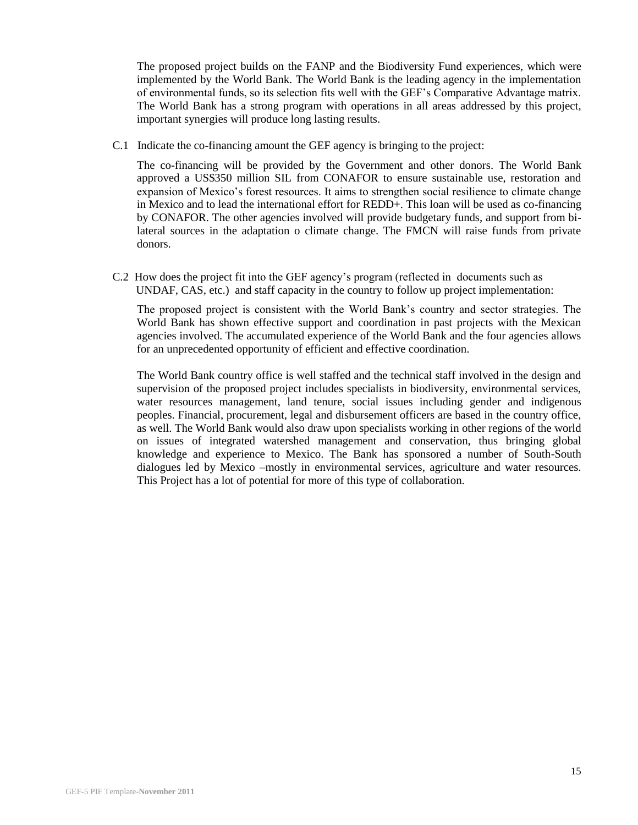The proposed project builds on the FANP and the Biodiversity Fund experiences, which were implemented by the World Bank. The World Bank is the leading agency in the implementation of environmental funds, so its selection fits well with the GEF's Comparative Advantage matrix. The World Bank has a strong program with operations in all areas addressed by this project, important synergies will produce long lasting results.

C.1 Indicate the co-financing amount the GEF agency is bringing to the project:

The co-financing will be provided by the Government and other donors. The World Bank approved a US\$350 million SIL from CONAFOR to ensure sustainable use, restoration and expansion of Mexico's forest resources. It aims to strengthen social resilience to climate change in Mexico and to lead the international effort for REDD+. This loan will be used as co-financing by CONAFOR. The other agencies involved will provide budgetary funds, and support from bilateral sources in the adaptation o climate change. The FMCN will raise funds from private donors.

C.2 How does the project fit into the GEF agency's program (reflected in documents such as UNDAF, CAS, etc.) and staff capacity in the country to follow up project implementation:

The proposed project is consistent with the World Bank's country and sector strategies. The World Bank has shown effective support and coordination in past projects with the Mexican agencies involved. The accumulated experience of the World Bank and the four agencies allows for an unprecedented opportunity of efficient and effective coordination.

The World Bank country office is well staffed and the technical staff involved in the design and supervision of the proposed project includes specialists in biodiversity, environmental services, water resources management, land tenure, social issues including gender and indigenous peoples. Financial, procurement, legal and disbursement officers are based in the country office, as well. The World Bank would also draw upon specialists working in other regions of the world on issues of integrated watershed management and conservation, thus bringing global knowledge and experience to Mexico. The Bank has sponsored a number of South-South dialogues led by Mexico –mostly in environmental services, agriculture and water resources. This Project has a lot of potential for more of this type of collaboration.